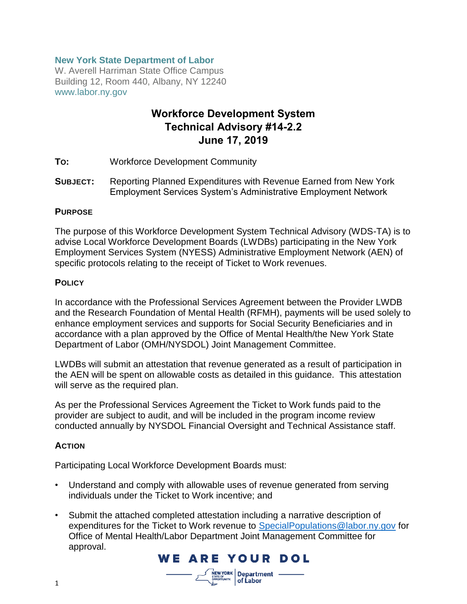# **New York State Department of Labor**

W. Averell Harriman State Office Campus Building 12, Room 440, Albany, NY 12240 www.labor.ny.gov

# **Workforce Development System Technical Advisory #14-2.2 June 17, 2019**

- **TO:** Workforce Development Community
- **SUBJECT:** Reporting Planned Expenditures with Revenue Earned from New York Employment Services System's Administrative Employment Network

#### **PURPOSE**

The purpose of this Workforce Development System Technical Advisory (WDS-TA) is to advise Local Workforce Development Boards (LWDBs) participating in the New York Employment Services System (NYESS) Administrative Employment Network (AEN) of specific protocols relating to the receipt of Ticket to Work revenues.

#### **POLICY**

In accordance with the Professional Services Agreement between the Provider LWDB and the Research Foundation of Mental Health (RFMH), payments will be used solely to enhance employment services and supports for Social Security Beneficiaries and in accordance with a plan approved by the Office of Mental Health/the New York State Department of Labor (OMH/NYSDOL) Joint Management Committee.

LWDBs will submit an attestation that revenue generated as a result of participation in the AEN will be spent on allowable costs as detailed in this guidance. This attestation will serve as the required plan.

As per the Professional Services Agreement the Ticket to Work funds paid to the provider are subject to audit, and will be included in the program income review conducted annually by NYSDOL Financial Oversight and Technical Assistance staff.

#### **ACTION**

Participating Local Workforce Development Boards must:

- Understand and comply with allowable uses of revenue generated from serving individuals under the Ticket to Work incentive; and
- Submit the attached completed attestation including a narrative description of expenditures for the Ticket to Work revenue to [SpecialPopulations@labor.ny.gov](mailto:SpecialPopulations@labor.ny.gov) for Office of Mental Health/Labor Department Joint Management Committee for approval.

**WE ARE YOUR DOL** 

 $\frac{1}{N}$ EWYORK Department – of Labor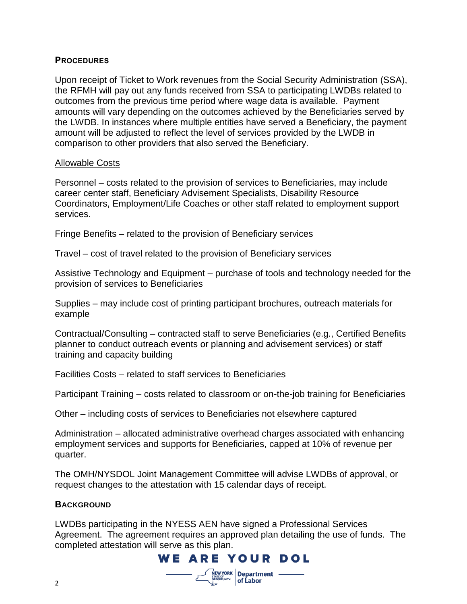# **PROCEDURES**

Upon receipt of Ticket to Work revenues from the Social Security Administration (SSA), the RFMH will pay out any funds received from SSA to participating LWDBs related to outcomes from the previous time period where wage data is available. Payment amounts will vary depending on the outcomes achieved by the Beneficiaries served by the LWDB. In instances where multiple entities have served a Beneficiary, the payment amount will be adjusted to reflect the level of services provided by the LWDB in comparison to other providers that also served the Beneficiary.

#### Allowable Costs

Personnel – costs related to the provision of services to Beneficiaries, may include career center staff, Beneficiary Advisement Specialists, Disability Resource Coordinators, Employment/Life Coaches or other staff related to employment support services.

Fringe Benefits – related to the provision of Beneficiary services

Travel – cost of travel related to the provision of Beneficiary services

Assistive Technology and Equipment – purchase of tools and technology needed for the provision of services to Beneficiaries

Supplies – may include cost of printing participant brochures, outreach materials for example

Contractual/Consulting – contracted staff to serve Beneficiaries (e.g., Certified Benefits planner to conduct outreach events or planning and advisement services) or staff training and capacity building

Facilities Costs – related to staff services to Beneficiaries

Participant Training – costs related to classroom or on-the-job training for Beneficiaries

Other – including costs of services to Beneficiaries not elsewhere captured

Administration – allocated administrative overhead charges associated with enhancing employment services and supports for Beneficiaries, capped at 10% of revenue per quarter.

The OMH/NYSDOL Joint Management Committee will advise LWDBs of approval, or request changes to the attestation with 15 calendar days of receipt.

#### **BACKGROUND**

LWDBs participating in the NYESS AEN have signed a Professional Services Agreement. The agreement requires an approved plan detailing the use of funds. The completed attestation will serve as this plan.